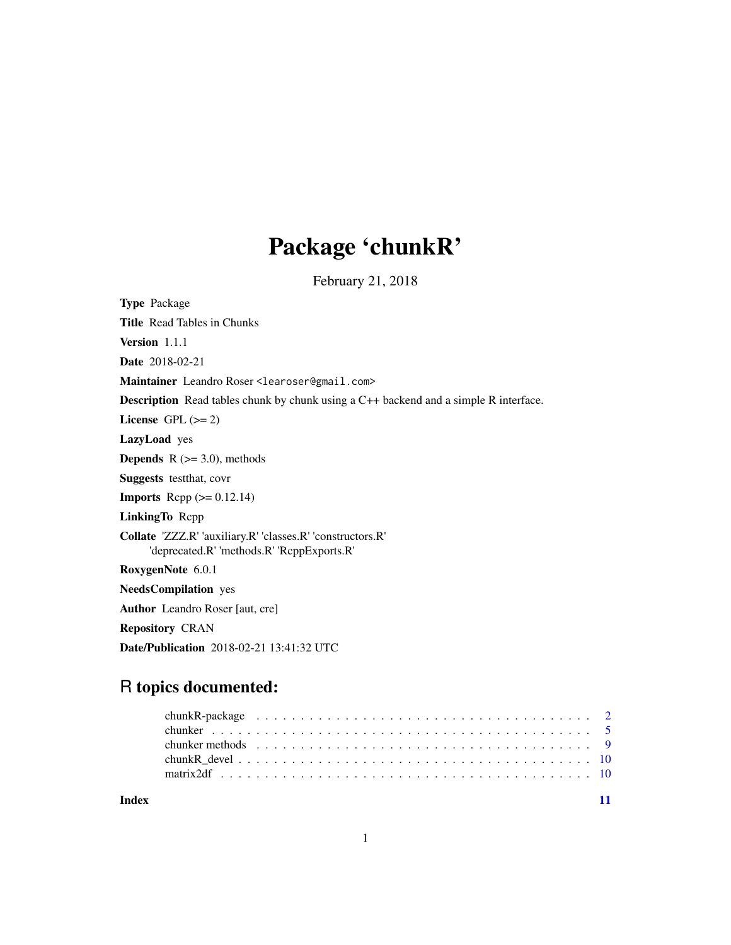# Package 'chunkR'

February 21, 2018

| <b>Type Package</b>                                                                                      |
|----------------------------------------------------------------------------------------------------------|
| <b>Title</b> Read Tables in Chunks                                                                       |
| Version 1.1.1                                                                                            |
| <b>Date</b> 2018-02-21                                                                                   |
| Maintainer Leandro Roser <learoser@gmail.com></learoser@gmail.com>                                       |
| <b>Description</b> Read tables chunk by chunk using a C++ backend and a simple R interface.              |
| License GPL $(>= 2)$                                                                                     |
| <b>LazyLoad</b> yes                                                                                      |
| <b>Depends</b> $R$ ( $>=$ 3.0), methods                                                                  |
| <b>Suggests</b> test that, cover                                                                         |
| <b>Imports</b> Repp $(>= 0.12.14)$                                                                       |
| <b>LinkingTo Repp</b>                                                                                    |
| Collate 'ZZZ.R' 'auxiliary.R' 'classes.R' 'constructors.R'<br>'deprecated.R' 'methods.R' 'RcppExports.R' |
| RoxygenNote 6.0.1                                                                                        |
| <b>NeedsCompilation</b> yes                                                                              |
| <b>Author</b> Leandro Roser [aut, cre]                                                                   |
| <b>Repository CRAN</b>                                                                                   |
| <b>Date/Publication</b> 2018-02-21 13:41:32 UTC                                                          |

# R topics documented:

| Index |  |  |
|-------|--|--|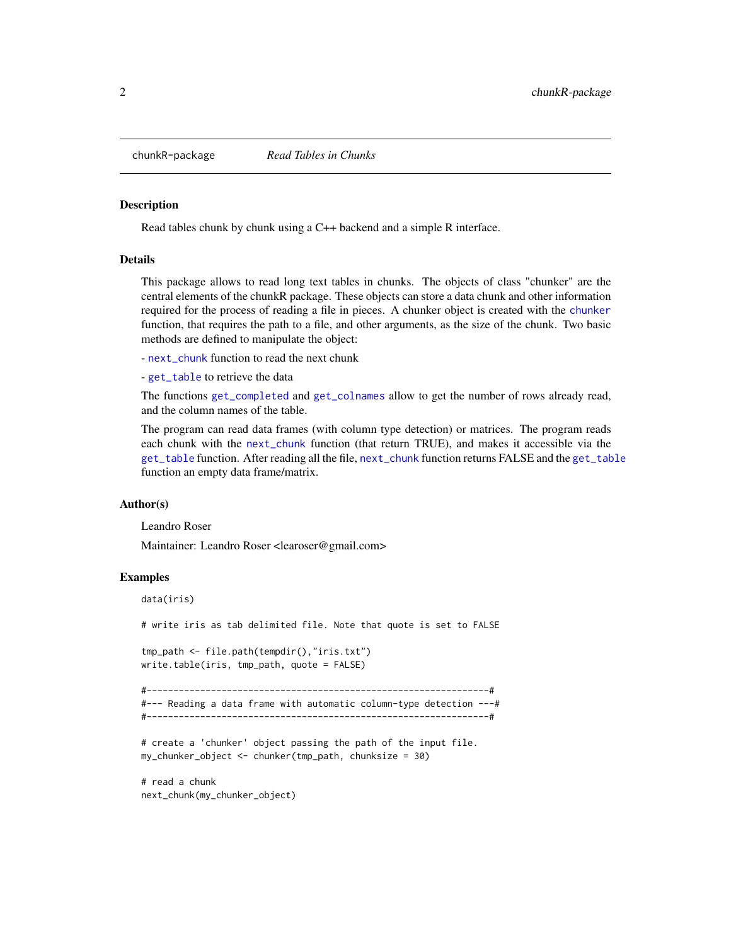<span id="page-1-0"></span>

#### Description

Read tables chunk by chunk using a C++ backend and a simple R interface.

### **Details**

This package allows to read long text tables in chunks. The objects of class "chunker" are the central elements of the chunkR package. These objects can store a data chunk and other information required for the process of reading a file in pieces. A chunker object is created with the [chunker](#page-4-1) function, that requires the path to a file, and other arguments, as the size of the chunk. Two basic methods are defined to manipulate the object:

- [next\\_chunk](#page-8-1) function to read the next chunk

- [get\\_table](#page-8-1) to retrieve the data

The functions [get\\_completed](#page-8-1) and [get\\_colnames](#page-8-1) allow to get the number of rows already read, and the column names of the table.

The program can read data frames (with column type detection) or matrices. The program reads each chunk with the [next\\_chunk](#page-8-1) function (that return TRUE), and makes it accessible via the [get\\_table](#page-8-1) function. After reading all the file, [next\\_chunk](#page-8-1) function returns FALSE and the [get\\_table](#page-8-1) function an empty data frame/matrix.

## Author(s)

Leandro Roser

Maintainer: Leandro Roser <learoser@gmail.com>

#### Examples

```
data(iris)
# write iris as tab delimited file. Note that quote is set to FALSE
tmp_path <- file.path(tempdir(),"iris.txt")
write.table(iris, tmp_path, quote = FALSE)
#----------------------------------------------------------------#
#--- Reading a data frame with automatic column-type detection ---#
#----------------------------------------------------------------#
# create a 'chunker' object passing the path of the input file.
my_chunker_object <- chunker(tmp_path, chunksize = 30)
# read a chunk
next_chunk(my_chunker_object)
```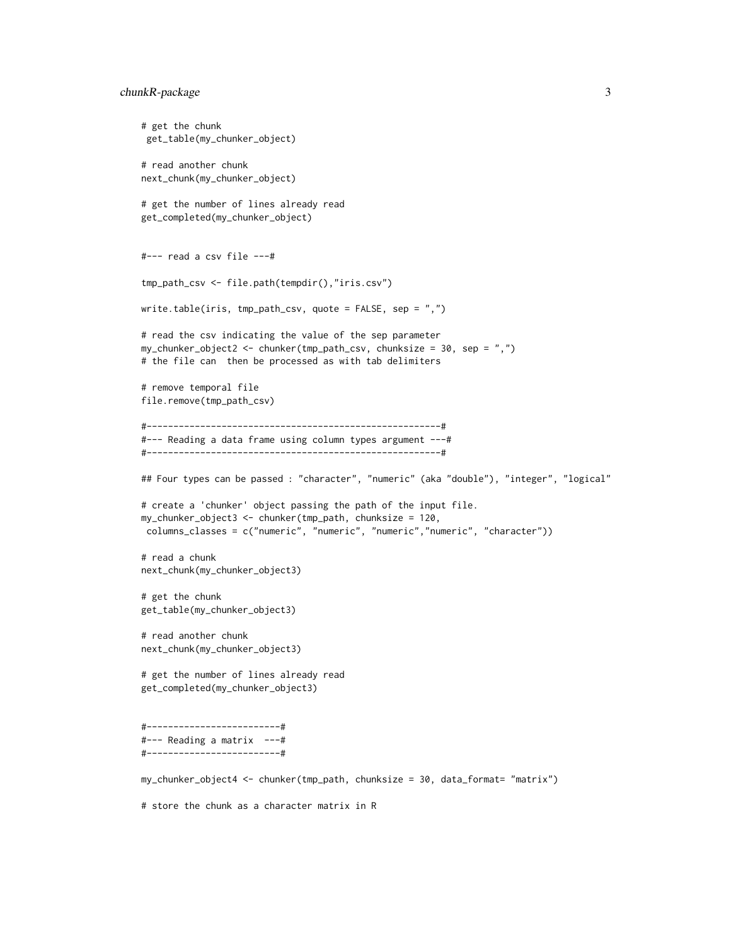```
chunkR-package 3
```

```
# get the chunk
 get_table(my_chunker_object)
# read another chunk
next_chunk(my_chunker_object)
# get the number of lines already read
get_completed(my_chunker_object)
#--- read a csv file ---#
tmp_path_csv <- file.path(tempdir(),"iris.csv")
write.table(iris, tmp_path_csv, quote = FALSE, sep = ",")
# read the csv indicating the value of the sep parameter
my_chunker_object2 <- chunker(tmp_path_csv, chunksize = 30, sep = ",")
# the file can then be processed as with tab delimiters
# remove temporal file
file.remove(tmp_path_csv)
#-------------------------------------------------------#
#--- Reading a data frame using column types argument ---#
#-------------------------------------------------------#
## Four types can be passed : "character", "numeric" (aka "double"), "integer", "logical"
# create a 'chunker' object passing the path of the input file.
my_chunker_object3 <- chunker(tmp_path, chunksize = 120,
columns_classes = c("numeric", "numeric", "numeric","numeric", "character"))
# read a chunk
next_chunk(my_chunker_object3)
# get the chunk
get_table(my_chunker_object3)
# read another chunk
next_chunk(my_chunker_object3)
# get the number of lines already read
get_completed(my_chunker_object3)
#-------------------------#
#--- Reading a matrix ---#
#-------------------------#
my_chunker_object4 <- chunker(tmp_path, chunksize = 30, data_format= "matrix")
# store the chunk as a character matrix in R
```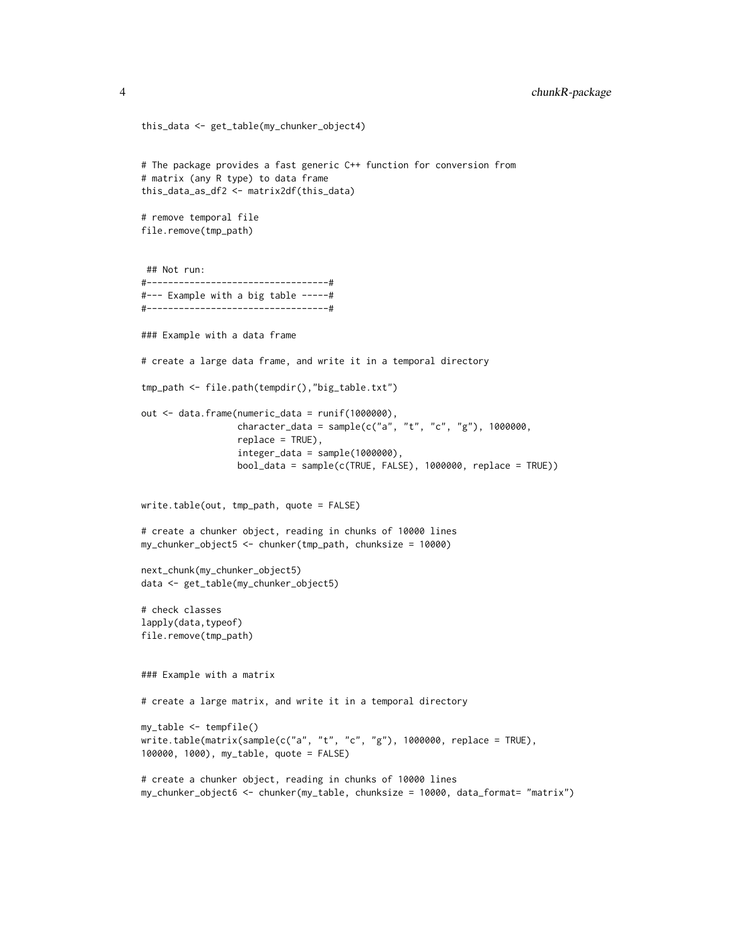```
this_data <- get_table(my_chunker_object4)
# The package provides a fast generic C++ function for conversion from
# matrix (any R type) to data frame
this_data_as_df2 <- matrix2df(this_data)
# remove temporal file
file.remove(tmp_path)
 ## Not run:
#----------------------------------#
#--- Example with a big table -----#
#----------------------------------#
### Example with a data frame
# create a large data frame, and write it in a temporal directory
tmp_path <- file.path(tempdir(),"big_table.txt")
out <- data.frame(numeric_data = runif(1000000),
                  character_data = sample(c("a", "t", "c", "g"), 1000000,
                  replace = TRUE),
                  integer_data = sample(1000000),
                  bool_data = sample(c(TRUE, FALSE), 1000000, replace = TRUE))
write.table(out, tmp_path, quote = FALSE)
# create a chunker object, reading in chunks of 10000 lines
my_chunker_object5 <- chunker(tmp_path, chunksize = 10000)
next_chunk(my_chunker_object5)
data <- get_table(my_chunker_object5)
# check classes
lapply(data,typeof)
file.remove(tmp_path)
### Example with a matrix
# create a large matrix, and write it in a temporal directory
my_table <- tempfile()
write.table(matrix(sample(c("a", "t", "c", "g"), 1000000, replace = TRUE),
100000, 1000), my_table, quote = FALSE)
# create a chunker object, reading in chunks of 10000 lines
my_chunker_object6 <- chunker(my_table, chunksize = 10000, data_format= "matrix")
```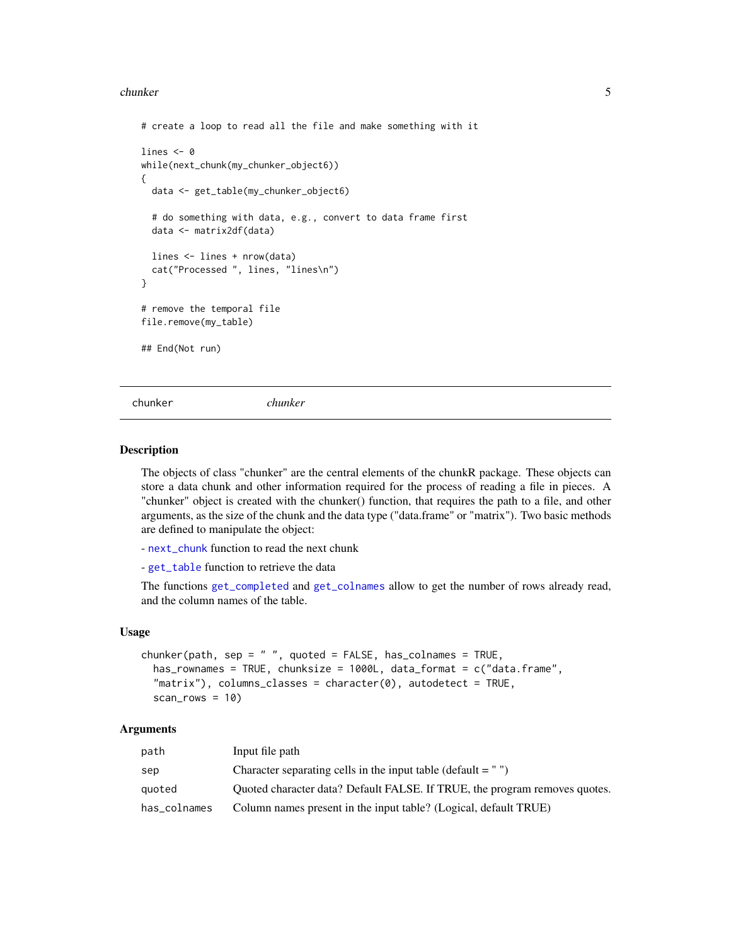#### <span id="page-4-0"></span>chunker 5

```
# create a loop to read all the file and make something with it
lines <- 0
while(next_chunk(my_chunker_object6))
{
 data <- get_table(my_chunker_object6)
 # do something with data, e.g., convert to data frame first
 data <- matrix2df(data)
 lines <- lines + nrow(data)
 cat("Processed ", lines, "lines\n")
}
# remove the temporal file
file.remove(my_table)
## End(Not run)
```
<span id="page-4-1"></span>chunker *chunker*

#### Description

The objects of class "chunker" are the central elements of the chunkR package. These objects can store a data chunk and other information required for the process of reading a file in pieces. A "chunker" object is created with the chunker() function, that requires the path to a file, and other arguments, as the size of the chunk and the data type ("data.frame" or "matrix"). Two basic methods are defined to manipulate the object:

- [next\\_chunk](#page-8-1) function to read the next chunk
- [get\\_table](#page-8-1) function to retrieve the data

The functions [get\\_completed](#page-8-1) and [get\\_colnames](#page-8-1) allow to get the number of rows already read, and the column names of the table.

#### Usage

```
chunker(path, sep = ", quoted = FALSE, has_colnames = TRUE,
  has_rownames = TRUE, chunksize = 1000L, data_format = c("data.frame",
  "matrix"), columns_classes = character(0), autodetect = TRUE,
  scan_{rows} = 10
```
# Arguments

| path         | Input file path                                                            |
|--------------|----------------------------------------------------------------------------|
| sep          | Character separating cells in the input table (default $=$ ")              |
| auoted       | Quoted character data? Default FALSE. If TRUE, the program removes quotes. |
| has_colnames | Column names present in the input table? (Logical, default TRUE)           |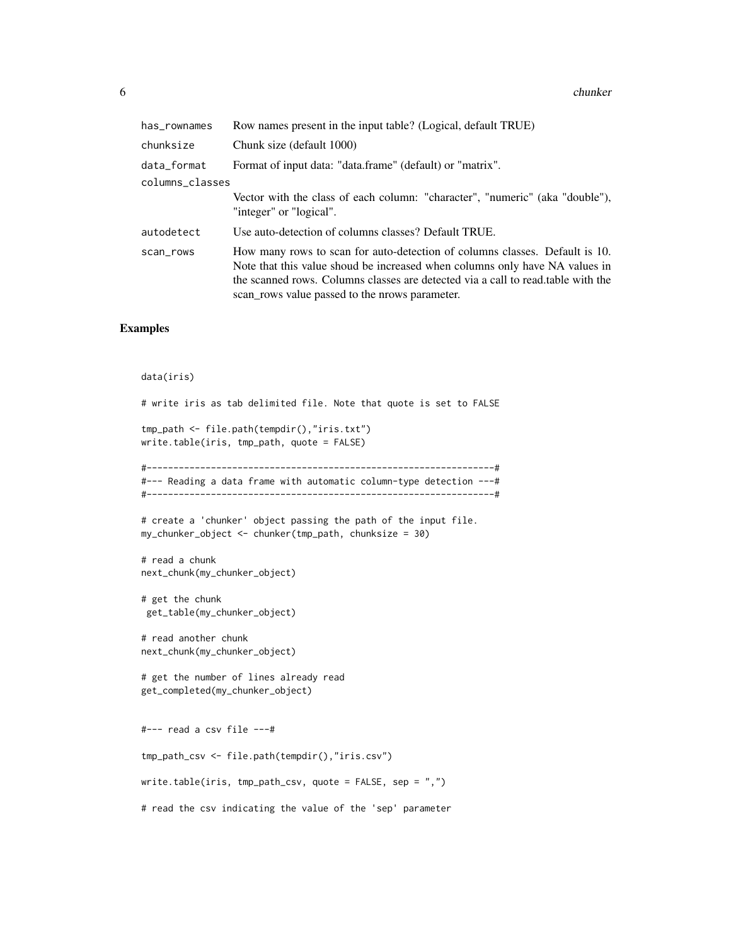6 chunker chunker chunker chunker chunker chunker chunker chunker chunker chunker chunker chunker chunker chunker

| has_rownames    | Row names present in the input table? (Logical, default TRUE)                                                                                                                                                                                                                                     |  |
|-----------------|---------------------------------------------------------------------------------------------------------------------------------------------------------------------------------------------------------------------------------------------------------------------------------------------------|--|
| chunksize       | Chunk size (default 1000)                                                                                                                                                                                                                                                                         |  |
| data_format     | Format of input data: "data.frame" (default) or "matrix".                                                                                                                                                                                                                                         |  |
| columns_classes |                                                                                                                                                                                                                                                                                                   |  |
|                 | Vector with the class of each column: "character", "numeric" (aka "double"),<br>"integer" or "logical".                                                                                                                                                                                           |  |
| autodetect      | Use auto-detection of columns classes? Default TRUE.                                                                                                                                                                                                                                              |  |
| scan_rows       | How many rows to scan for auto-detection of columns classes. Default is 10.<br>Note that this value shoud be increased when columns only have NA values in<br>the scanned rows. Columns classes are detected via a call to read, table with the<br>scan rows value passed to the prows parameter. |  |

# Examples

#### data(iris)

# write iris as tab delimited file. Note that quote is set to FALSE

```
tmp_path <- file.path(tempdir(),"iris.txt")
write.table(iris, tmp_path, quote = FALSE)
```
#-----------------------------------------------------------------# #--- Reading a data frame with automatic column-type detection ---# #-----------------------------------------------------------------#

```
# create a 'chunker' object passing the path of the input file.
```

```
my_chunker_object <- chunker(tmp_path, chunksize = 30)
```

```
# read a chunk
next_chunk(my_chunker_object)
```

```
# get the chunk
get_table(my_chunker_object)
```

```
# read another chunk
next_chunk(my_chunker_object)
```

```
# get the number of lines already read
get_completed(my_chunker_object)
```
#--- read a csv file ---#

tmp\_path\_csv <- file.path(tempdir(),"iris.csv")

write.table(iris, tmp\_path\_csv, quote = FALSE, sep = ",")

# read the csv indicating the value of the 'sep' parameter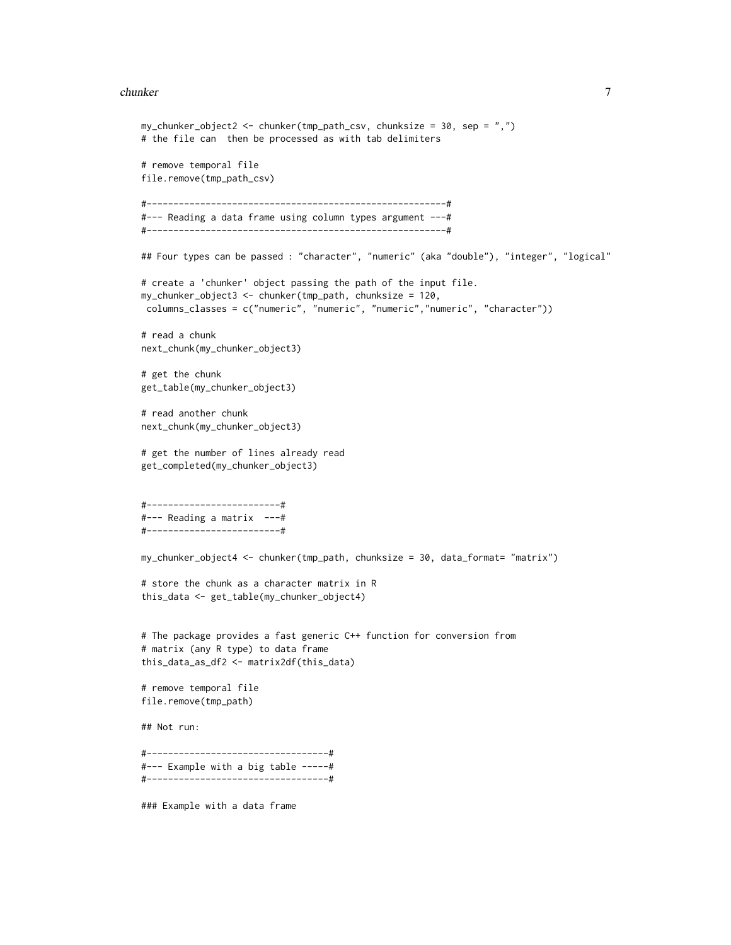#### chunker 7 ann an 2008. Tha sa bhliain 1972, ann an 2008 ann an 2008 ann an 2008. Tha sa bhliain 1972, ann an 20

```
my_{\text{chunker\_object2}} \leftarrow \text{chunker}(\text{tmp}_{\text{path\_csv}}, \text{chunksize} = 30, \text{sep} = ", ")# the file can then be processed as with tab delimiters
# remove temporal file
file.remove(tmp_path_csv)
#--------------------------------------------------------#
#--- Reading a data frame using column types argument ---#
#--------------------------------------------------------#
## Four types can be passed : "character", "numeric" (aka "double"), "integer", "logical"
# create a 'chunker' object passing the path of the input file.
my_chunker_object3 <- chunker(tmp_path, chunksize = 120,
 columns_classes = c("numeric", "numeric", "numeric","numeric", "character"))
# read a chunk
next_chunk(my_chunker_object3)
# get the chunk
get_table(my_chunker_object3)
# read another chunk
next_chunk(my_chunker_object3)
# get the number of lines already read
get_completed(my_chunker_object3)
#-------------------------#
#--- Reading a matrix ---#
#-------------------------#
my_chunker_object4 <- chunker(tmp_path, chunksize = 30, data_format= "matrix")
# store the chunk as a character matrix in R
this_data <- get_table(my_chunker_object4)
# The package provides a fast generic C++ function for conversion from
# matrix (any R type) to data frame
this_data_as_df2 <- matrix2df(this_data)
# remove temporal file
file.remove(tmp_path)
## Not run:
#----------------------------------#
#--- Example with a big table -----#
#----------------------------------#
### Example with a data frame
```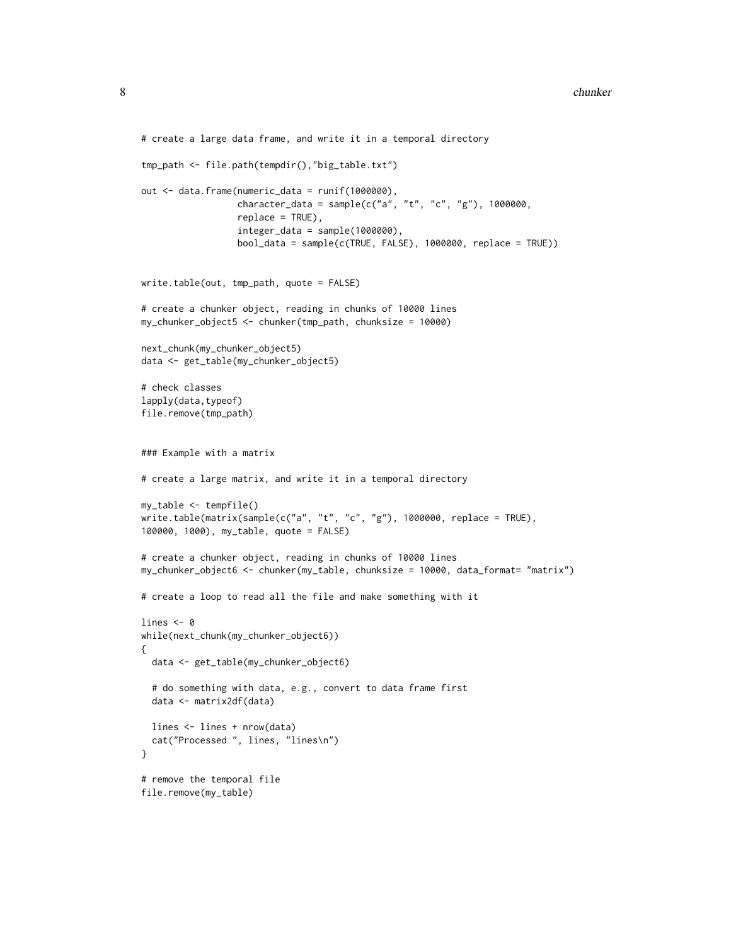```
# create a large data frame, and write it in a temporal directory
tmp_path <- file.path(tempdir(),"big_table.txt")
out <- data.frame(numeric_data = runif(1000000),
                  character_data = sample(c("a", "t", "c", "g"), 1000000,replace = TRUE),
                  integer_data = sample(1000000),
                  bool_data = sample(c(TRUE, FALSE), 1000000, replace = TRUE))
write.table(out, tmp_path, quote = FALSE)
# create a chunker object, reading in chunks of 10000 lines
my_chunker_object5 <- chunker(tmp_path, chunksize = 10000)
next_chunk(my_chunker_object5)
data <- get_table(my_chunker_object5)
# check classes
lapply(data,typeof)
file.remove(tmp_path)
### Example with a matrix
# create a large matrix, and write it in a temporal directory
my_table <- tempfile()
write.table(matrix(sample(c("a", "t", "c", "g"), 1000000, replace = TRUE),100000, 1000), my_table, quote = FALSE)
# create a chunker object, reading in chunks of 10000 lines
my_chunker_object6 <- chunker(my_table, chunksize = 10000, data_format= "matrix")
# create a loop to read all the file and make something with it
lines <- 0
while(next_chunk(my_chunker_object6))
{
  data <- get_table(my_chunker_object6)
  # do something with data, e.g., convert to data frame first
  data <- matrix2df(data)
  lines <- lines + nrow(data)
  cat("Processed ", lines, "lines\n")
}
# remove the temporal file
```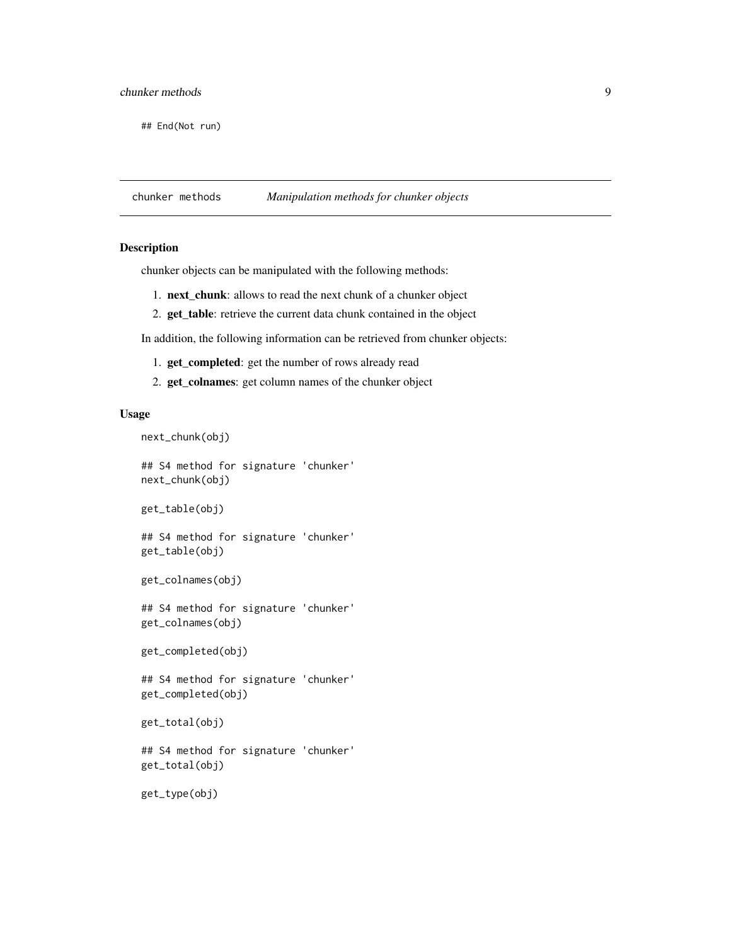<span id="page-8-0"></span>## End(Not run)

chunker methods *Manipulation methods for chunker objects*

# <span id="page-8-1"></span>Description

chunker objects can be manipulated with the following methods:

- 1. next\_chunk: allows to read the next chunk of a chunker object
- 2. get\_table: retrieve the current data chunk contained in the object

In addition, the following information can be retrieved from chunker objects:

- 1. get\_completed: get the number of rows already read
- 2. get\_colnames: get column names of the chunker object

## Usage

next\_chunk(obj)

## S4 method for signature 'chunker' next\_chunk(obj)

```
get_table(obj)
```
## S4 method for signature 'chunker' get\_table(obj)

```
get_colnames(obj)
```
## S4 method for signature 'chunker' get\_colnames(obj)

get\_completed(obj)

## S4 method for signature 'chunker' get\_completed(obj)

get\_total(obj)

## S4 method for signature 'chunker' get\_total(obj)

get\_type(obj)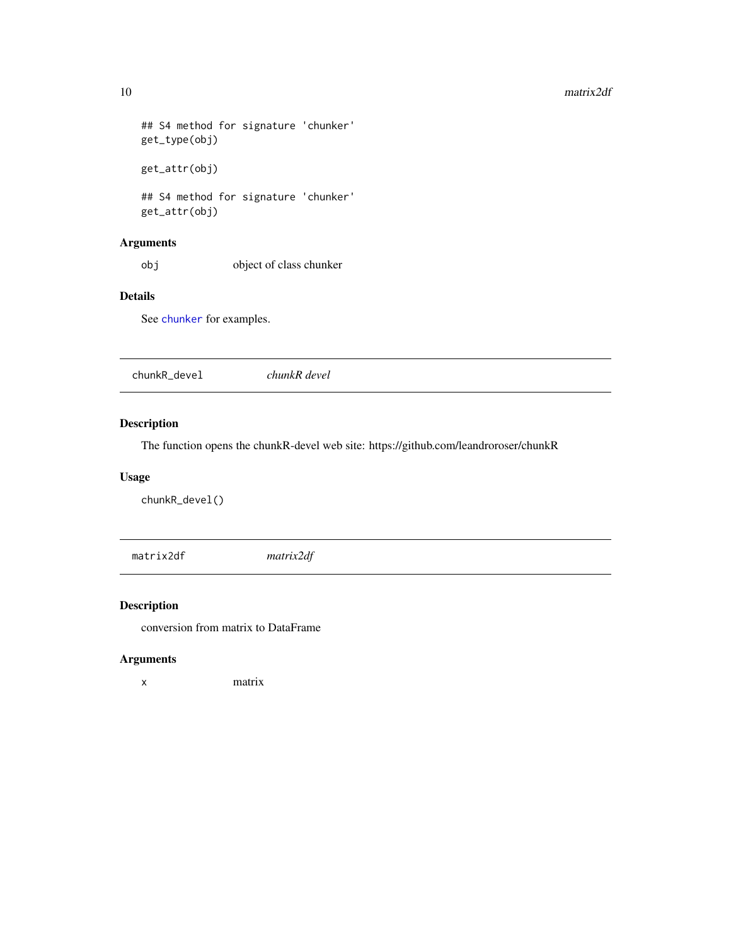```
## S4 method for signature 'chunker'
get_type(obj)
get_attr(obj)
## S4 method for signature 'chunker'
```
get\_attr(obj)

# Arguments

obj object of class chunker

# Details

See [chunker](#page-4-1) for examples.

| chunkR devel<br>chunkR_devel |
|------------------------------|
|------------------------------|

# Description

The function opens the chunkR-devel web site: https://github.com/leandroroser/chunkR

#### Usage

chunkR\_devel()

matrix2df *matrix2df*

# Description

conversion from matrix to DataFrame

# Arguments

x matrix

<span id="page-9-0"></span>